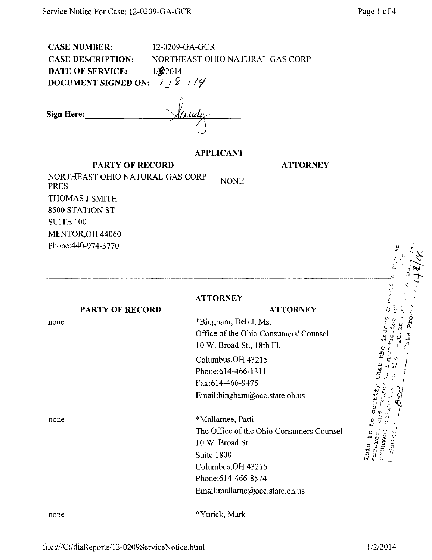CASE NUMBER: 12-0209-GA-GCR CASE DESCRIPTION: NORTHEAST OHIO NATURAL GAS CORP DATE OF SERVICE:  $1/\frac{2}{2014}$ DOCUMENT SIGNED ON:  $1/8$  // $9$ 

Sign Here:  $\overline{\phantom{a}}$  $\overline{\mu}$ ud $\overline{\mu}$ 

#### APPLICANT

**ATTORNEY** 

NONE PARTY OF RECORD NORTHEAST OHIO NATURAL GAS CORP PRES THOMAS J SMITH 8500 STATION ST SUITE 100 MENTOR,OH 44060 Phone:440-974-3770

#### PARTY OF RECORD **ATTORNEY**

\* Bingham, Deb J. Ms. Office of the Ohio Consumers' Counsel 10 W, Broad St., 18th FL

**ATTORNEY** 

Columbus,OH 43215 Phone:614-466-1311 Fax:614-466-9475 Email :bingham@occ. state, oh.us

\* Mallamee, Patti The Office of the Ohio Consumers Counsel 10 W. Broad St. Suite 1800 Columbus,OH 43215 Phone:614-466-8574 Email[:mallame@occ.state.oh.us](mailto:mallame@occ.state.oh.us) 

 $\sim$   $^{\circ}$   $\chi$  .  $\frac{1}{2}$  $\mathbf{f} \cdot \mathbf{f} \cdot \mathbf{f}$ ti- Q r? a' r.  $\sim$   $\sim$  $\sim$  : , io certi ^ •'-' 1' J.  $\frac{1}{2}$   $\frac{3}{2}$   $\frac{1}{2}$   $\frac{3}{2}$   $\frac{1}{2}$   $\frac{3}{2}$ Phis is o h (زاب ••7

none

none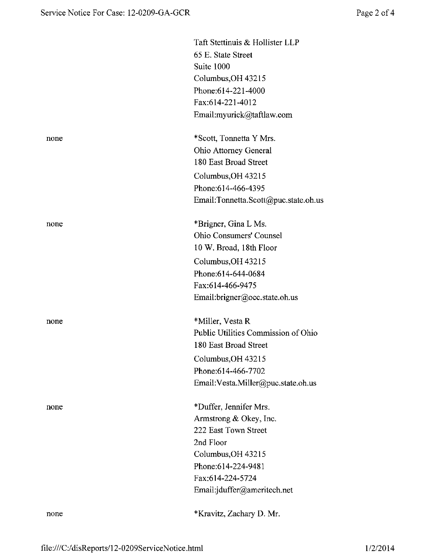|      | Taft Stettinuis & Hollister LLP      |
|------|--------------------------------------|
|      | 65 E. State Street                   |
|      | Suite 1000                           |
|      | Columbus, OH 43215                   |
|      | Phone:614-221-4000                   |
|      | Fax:614-221-4012                     |
|      | Email:myurick@taftlaw.com            |
| none | *Scott, Tonnetta Y Mrs.              |
|      | Ohio Attorney General                |
|      | 180 East Broad Street                |
|      | Columbus, OH 43215                   |
|      | Phone:614-466-4395                   |
|      | Email:Tonnetta.Scott@puc.state.oh.us |
| none | *Brigner, Gina L Ms.                 |
|      | Ohio Consumers' Counsel              |
|      | 10 W. Broad, 18th Floor              |
|      | Columbus, OH 43215                   |
|      | Phone:614-644-0684                   |
|      | Fax:614-466-9475                     |
|      | Email:brigner@occ.state.oh.us        |
| none | *Miller, Vesta R                     |
|      | Public Utilities Commission of Ohio  |
|      | 180 East Broad Street                |
|      | Columbus, OH 43215                   |
|      | Phone: 614-466-7702                  |
|      | Email: Vesta. Miller@puc.state.oh.us |
| none | *Duffer, Jennifer Mrs.               |
|      | Armstrong & Okey, Inc.               |
|      | 222 East Town Street                 |
|      | 2nd Floor                            |
|      | Columbus, OH 43215                   |
|      | Phone:614-224-9481                   |
|      | Fax:614-224-5724                     |
|      | Email:jduffer@ameritech.net          |
| none | *Kravitz, Zachary D. Mr.             |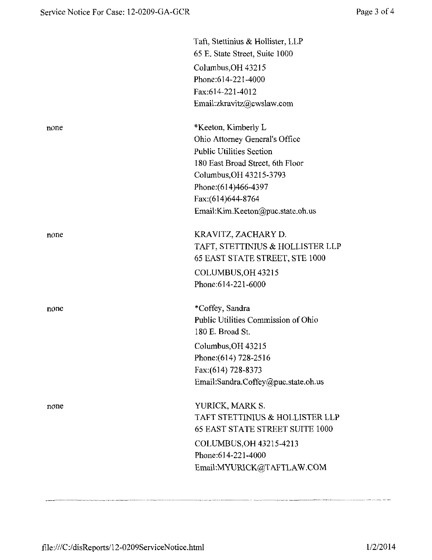|      | Taft, Stettinius & Hollister, LLP<br>65 E. State Street, Suite 1000 |
|------|---------------------------------------------------------------------|
|      |                                                                     |
|      | Columbus, OH 43215<br>Phone: 614-221-4000                           |
|      | Fax:614-221-4012                                                    |
|      |                                                                     |
|      | Email:zkravitz@cwslaw.com                                           |
| none | *Keeton, Kimberly L                                                 |
|      | Ohio Attorney General's Office                                      |
|      | <b>Public Utilities Section</b>                                     |
|      | 180 East Broad Street, 6th Floor                                    |
|      | Columbus, OH 43215-3793                                             |
|      | Phone: (614)466-4397                                                |
|      | Fax:(614)644-8764                                                   |
|      | Email:Kim.Keeton@puc.state.oh.us                                    |
| none | KRAVITZ, ZACHARY D.                                                 |
|      | TAFT, STETTINIUS & HOLLISTER LLP                                    |
|      | 65 EAST STATE STREET, STE 1000                                      |
|      | COLUMBUS, OH 43215                                                  |
|      | Phone:614-221-6000                                                  |
| none | *Coffey, Sandra                                                     |
|      | Public Utilities Commission of Ohio                                 |
|      | 180 E. Broad St.                                                    |
|      | Columbus, OH 43215                                                  |
|      | Phone: (614) 728-2516                                               |
|      | Fax: (614) 728-8373                                                 |
|      | Email:Sandra.Coffey@puc.state.oh.us                                 |
|      |                                                                     |
| none | YURICK, MARK S.                                                     |
|      | TAFT STETTINIUS & HOLLISTER LLP                                     |
|      | <b>65 EAST STATE STREET SUITE 1000</b>                              |
|      | COLUMBUS, OH 43215-4213                                             |
|      | Phone: 614-221-4000                                                 |
|      | Email:MYURICK@TAFTLAW.COM                                           |
|      |                                                                     |
|      |                                                                     |

.<br>Mithical application Mithical Article of the Communication of the Mithical Mithical Mithical Mithical Mithical